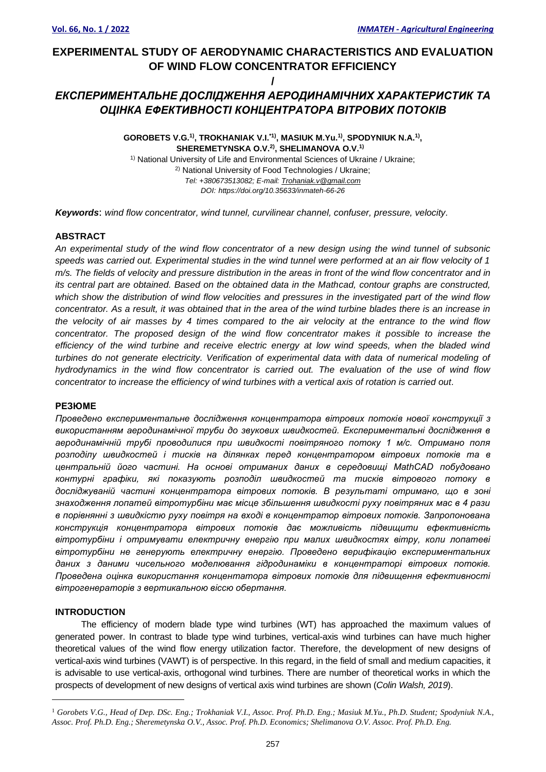# **EXPERIMENTAL STUDY OF AERODYNAMIC CHARACTERISTICS AND EVALUATION OF WIND FLOW CONCENTRATOR EFFICIENCY**

**/**

## *ЕКСПЕРИМЕНТАЛЬНЕ ДОСЛІДЖЕННЯ АЕРОДИНАМІЧНИХ ХАРАКТЕРИСТИК ТА ОЦІНКА ЕФЕКТИВНОСТІ КОНЦЕНТРАТОРА ВІТРОВИХ ПОТОКІВ*

**GOROBETS V.G.1) , TROKHANIAK V.I.\*1) , MASIUK M.Yu.1) , SPODYNIUK N.A.1) , SHEREMETYNSKA O.V.2) , SHELIMANOVA O.V. 1) 1**

<sup>1)</sup> National University of Life and Environmental Sciences of Ukraine / Ukraine; 2) National University of Food Technologies / Ukraine; *Tel: +380673513082; E-mail: [Trohaniak.v@gmail.com](mailto:Trohaniak.v@gmail.com) DOI: https://doi.org/10.35633/inmateh-66-26*

*Keywords*: *wind flow concentrator, wind tunnel, curvilinear channel, confuser, pressure, velocity.*

## **ABSTRACT**

*An experimental study of the wind flow concentrator of a new design using the wind tunnel of subsonic speeds was carried out. Experimental studies in the wind tunnel were performed at an air flow velocity of 1 m/s. The fields of velocity and pressure distribution in the areas in front of the wind flow concentrator and in its central part are obtained. Based on the obtained data in the Mathcad, contour graphs are constructed, which show the distribution of wind flow velocities and pressures in the investigated part of the wind flow concentrator. As a result, it was obtained that in the area of the wind turbine blades there is an increase in the velocity of air masses by 4 times compared to the air velocity at the entrance to the wind flow concentrator. The proposed design of the wind flow concentrator makes it possible to increase the efficiency of the wind turbine and receive electric energy at low wind speeds, when the bladed wind turbines do not generate electricity. Verification of experimental data with data of numerical modeling of hydrodynamics in the wind flow concentrator is carried out. The evaluation of the use of wind flow concentrator to increase the efficiency of wind turbines with a vertical axis of rotation is carried out.*

#### **РЕЗЮМЕ**

*Проведено експериментальне дослідження концентратора вітрових потоків нової конструкції з використанням аеродинамічної труби до звукових швидкостей. Експериментальні дослідження в аеродинамічній трубі проводилися при швидкості повітряного потоку 1 м/с. Отримано поля розподілу швидкостей і тисків на ділянках перед концентратором вітрових потоків та в центральній його частині. На основі отриманих даних в середовищі MathCAD побудовано контурні графіки, які показують розподіл швидкостей та тисків вітрового потоку в досліджуваній частині концентратора вітрових потоків. В результаті отримано, що в зоні знаходження лопатей вітротурбіни має місце збільшення швидкості руху повітряних мас в 4 рази в порівнянні з швидкістю руху повітря на вході в концентратор вітрових потоків. Запропонована конструкція концентратора вітрових потоків дає можливість підвищити ефективність вітротурбіни і отримувати електричну енергію при малих швидкостях вітру, коли лопатеві вітротурбіни не генерують електричну енергію. Проведено верифікацію експериментальних даних з даними чисельного моделювання гідродинаміки в концентраторі вітрових потоків. Проведена оцінка використання концентатора вітрових потоків для підвищення ефективності вітрогенераторів з вертикальною віссю обертання.*

#### **INTRODUCTION**

The efficiency of modern blade type wind turbines (WT) has approached the maximum values of generated power. In contrast to blade type wind turbines, vertical-axis wind turbines can have much higher theoretical values of the wind flow energy utilization factor. Therefore, the development of new designs of vertical-axis wind turbines (VAWT) is of perspective. In this regard, in the field of small and medium capacities, it is advisable to use vertical-axis, orthogonal wind turbines. There are number of theoretical works in which the prospects of development of new designs of vertical axis wind turbines are shown (*Colin Walsh, 2019*).

<sup>1</sup> *Gorobets V.G., Head of Dep. DSc. Eng.; Trokhaniak V.I., Assoc. Prof. Ph.D. Eng.; Masiuk M.Yu., Ph.D. Student; Spodyniuk N.A., Assoc. Prof. Ph.D. Eng.; Sheremetynska O.V., Assoc. Prof. Ph.D. Economics; Shelimanova O.V. Assoc. Prof. Ph.D. Eng.*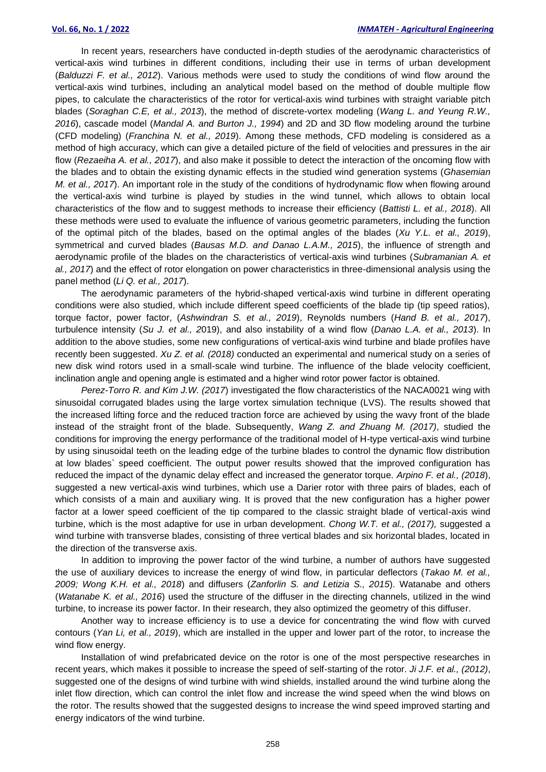In recent years, researchers have conducted in-depth studies of the aerodynamic characteristics of vertical-axis wind turbines in different conditions, including their use in terms of urban development (*Balduzzi F. et al., 2012*). Various methods were used to study the conditions of wind flow around the vertical-axis wind turbines, including an analytical model based on the method of double multiple flow pipes, to calculate the characteristics of the rotor for vertical-axis wind turbines with straight variable pitch blades (*Soraghan C.E, et al., 2013*), the method of discrete-vortex modeling (*Wang L. and Yeung R.W., 2016*), cascade model (*Mandal A. and Burton J., 1994*) and 2D and 3D flow modeling around the turbine (CFD modeling) (*Franchina N. et al., 2019*). Among these methods, CFD modeling is considered as a method of high accuracy, which can give a detailed picture of the field of velocities and pressures in the air flow (*Rezaeiha A. et al., 2017*), and also make it possible to detect the interaction of the oncoming flow with the blades and to obtain the existing dynamic effects in the studied wind generation systems (*Ghasemian M. et al., 2017*). An important role in the study of the conditions of hydrodynamic flow when flowing around the vertical-axis wind turbine is played by studies in the wind tunnel, which allows to obtain local characteristics of the flow and to suggest methods to increase their efficiency (*Battisti L. et al., 2018*). All these methods were used to evaluate the influence of various geometric parameters, including the function of the optimal pitch of the blades, based on the optimal angles of the blades (*Xu Y.L. et al., 2019*), symmetrical and curved blades (*Bausas M.D. and Danao L.A.M., 2015*), the influence of strength and aerodynamic profile of the blades on the characteristics of vertical-axis wind turbines (*Subramanian A. et al., 2017*) and the effect of rotor elongation on power characteristics in three-dimensional analysis using the panel method (*Li Q. et al., 2017*).

The aerodynamic parameters of the hybrid-shaped vertical-axis wind turbine in different operating conditions were also studied, which include different speed coefficients of the blade tip (tip speed ratios), torque factor, power factor, (*Ashwindran S. et al., 2019*), Reynolds numbers (*Hand B. et al., 2017*), turbulence intensity (*Su J. et al., 2*019), and also instability of a wind flow (*Danao L.A. et al., 2013*). In addition to the above studies, some new configurations of vertical-axis wind turbine and blade profiles have recently been suggested. *Xu Z. et al. (2018)* conducted an experimental and numerical study on a series of new disk wind rotors used in a small-scale wind turbine. The influence of the blade velocity coefficient, inclination angle and opening angle is estimated and a higher wind rotor power factor is obtained.

*Perez-Torro R. and Kim J.W. (2017*) investigated the flow characteristics of the NACA0021 wing with sinusoidal corrugated blades using the large vortex simulation technique (LVS). The results showed that the increased lifting force and the reduced traction force are achieved by using the wavy front of the blade instead of the straight front of the blade. Subsequently, *Wang Z. and Zhuang M. (2017)*, studied the conditions for improving the energy performance of the traditional model of H-type vertical-axis wind turbine by using sinusoidal teeth on the leading edge of the turbine blades to control the dynamic flow distribution at low blades` speed coefficient. The output power results showed that the improved configuration has reduced the impact of the dynamic delay effect and increased the generator torque. *Arpino F. et al., (2018*), suggested a new vertical-axis wind turbines, which use a Darier rotor with three pairs of blades, each of which consists of a main and auxiliary wing. It is proved that the new configuration has a higher power factor at a lower speed coefficient of the tip compared to the classic straight blade of vertical-axis wind turbine, which is the most adaptive for use in urban development. *Chong W.T. et al., (2017),* suggested a wind turbine with transverse blades, consisting of three vertical blades and six horizontal blades, located in the direction of the transverse axis.

In addition to improving the power factor of the wind turbine, a number of authors have suggested the use of auxiliary devices to increase the energy of wind flow, in particular deflectors (*Takao M. et al., 2009; Wong K.H. et al., 2018*) and diffusers (*Zanforlin S. and Letizia S., 2015*). Watanabe and others (*Watanabe K. et al., 2016*) used the structure of the diffuser in the directing channels, utilized in the wind turbine, to increase its power factor. In their research, they also optimized the geometry of this diffuser.

Another way to increase efficiency is to use a device for concentrating the wind flow with curved contours (*Yan Li, et al., 2019*), which are installed in the upper and lower part of the rotor, to increase the wind flow energy.

Installation of wind prefabricated device on the rotor is one of the most perspective researches in recent years, which makes it possible to increase the speed of self-starting of the rotor. *Ji J.F. et al., (2012)*, suggested one of the designs of wind turbine with wind shields, installed around the wind turbine along the inlet flow direction, which can control the inlet flow and increase the wind speed when the wind blows on the rotor. The results showed that the suggested designs to increase the wind speed improved starting and energy indicators of the wind turbine.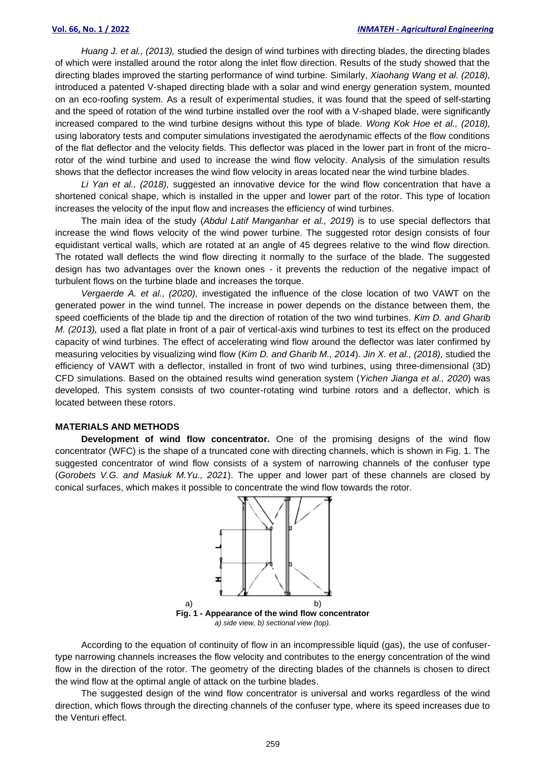*Huang J. et al., (2013),* studied the design of wind turbines with directing blades, the directing blades of which were installed around the rotor along the inlet flow direction. Results of the study showed that the directing blades improved the starting performance of wind turbine. Similarly, *Xiaohang Wang et al. (2018),* introduced a patented V-shaped directing blade with a solar and wind energy generation system, mounted on an eco-roofing system. As a result of experimental studies, it was found that the speed of self-starting and the speed of rotation of the wind turbine installed over the roof with a V-shaped blade, were significantly increased compared to the wind turbine designs without this type of blade. *Wong Kok Hoe et al., (2018),* using laboratory tests and computer simulations investigated the aerodynamic effects of the flow conditions of the flat deflector and the velocity fields. This deflector was placed in the lower part in front of the microrotor of the wind turbine and used to increase the wind flow velocity. Analysis of the simulation results shows that the deflector increases the wind flow velocity in areas located near the wind turbine blades.

*Li Yan et al., (2018),* suggested an innovative device for the wind flow concentration that have a shortened conical shape, which is installed in the upper and lower part of the rotor. This type of location increases the velocity of the input flow and increases the efficiency of wind turbines.

The main idea of the study (*Abdul Latif Manganhar et al., 2019*) is to use special deflectors that increase the wind flows velocity of the wind power turbine. The suggested rotor design consists of four equidistant vertical walls, which are rotated at an angle of 45 degrees relative to the wind flow direction. The rotated wall deflects the wind flow directing it normally to the surface of the blade. The suggested design has two advantages over the known ones - it prevents the reduction of the negative impact of turbulent flows on the turbine blade and increases the torque.

*Vergaerde A. et al., (2020),* investigated the influence of the close location of two VAWT on the generated power in the wind tunnel. The increase in power depends on the distance between them, the speed coefficients of the blade tip and the direction of rotation of the two wind turbines. *Kim D. and Gharib M. (2013),* used a flat plate in front of a pair of vertical-axis wind turbines to test its effect on the produced capacity of wind turbines. The effect of accelerating wind flow around the deflector was later confirmed by measuring velocities by visualizing wind flow (*Kim D. and Gharib M., 2014*). *Jin X. et al., (2018),* studied the efficiency of VAWT with a deflector, installed in front of two wind turbines, using three-dimensional (3D) CFD simulations. Based on the obtained results wind generation system (*Yichen Jianga et al., 2020*) was developed. This system consists of two counter-rotating wind turbine rotors and a deflector, which is located between these rotors.

#### **MATERIALS AND METHODS**

**Development of wind flow concentrator.** One of the promising designs of the wind flow concentrator (WFC) is the shape of a truncated cone with directing channels, which is shown in Fig. 1. The suggested concentrator of wind flow consists of a system of narrowing channels of the confuser type (*Gorobets V.G. and Masiuk M.Yu., 2021*). The upper and lower part of these channels are closed by conical surfaces, which makes it possible to concentrate the wind flow towards the rotor.



*a) side view, b) sectional view (top).*

According to the equation of continuity of flow in an incompressible liquid (gas), the use of confusertype narrowing channels increases the flow velocity and contributes to the energy concentration of the wind flow in the direction of the rotor. The geometry of the directing blades of the channels is chosen to direct the wind flow at the optimal angle of attack on the turbine blades.

The suggested design of the wind flow concentrator is universal and works regardless of the wind direction, which flows through the directing channels of the confuser type, where its speed increases due to the Venturi effect.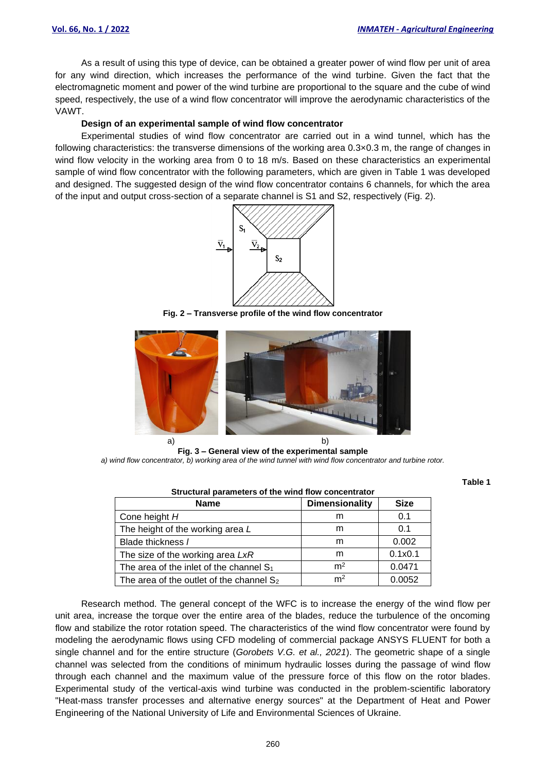**Table 1**

As a result of using this type of device, can be obtained a greater power of wind flow per unit of area for any wind direction, which increases the performance of the wind turbine. Given the fact that the electromagnetic moment and power of the wind turbine are proportional to the square and the cube of wind speed, respectively, the use of a wind flow concentrator will improve the aerodynamic characteristics of the VAWT.

#### **Design of an experimental sample of wind flow concentrator**

Experimental studies of wind flow concentrator are carried out in a wind tunnel, which has the following characteristics: the transverse dimensions of the working area 0.3×0.3 m, the range of changes in wind flow velocity in the working area from 0 to 18 m/s. Based on these characteristics an experimental sample of wind flow concentrator with the following parameters, which are given in Table 1 was developed and designed. The suggested design of the wind flow concentrator contains 6 channels, for which the area of the input and output cross-section of a separate channel is S1 and S2, respectively (Fig. 2).



**Fig. 2 – Transverse profile of the wind flow concentrator**



**Fig. 3 – General view of the experimental sample** *a) wind flow concentrator, b) working area of the wind tunnel with wind flow concentrator and turbine rotor.*

| Structural parameters of the wind flow concentrator |                       |             |
|-----------------------------------------------------|-----------------------|-------------|
| <b>Name</b>                                         | <b>Dimensionality</b> | <b>Size</b> |
| Cone height H                                       | m                     | 0.1         |
| The height of the working area L                    | m                     | 0.1         |
| Blade thickness /                                   | m                     | 0.002       |
| The size of the working area LxR                    | m                     | 0.1x0.1     |
| The area of the inlet of the channel $S_1$          | m <sup>2</sup>        | 0.0471      |
| The area of the outlet of the channel $S_2$         | m <sup>2</sup>        | 0.0052      |

Research method. The general concept of the WFC is to increase the energy of the wind flow per unit area, increase the torque over the entire area of the blades, reduce the turbulence of the oncoming flow and stabilize the rotor rotation speed. The characteristics of the wind flow concentrator were found by modeling the aerodynamic flows using CFD modeling of commercial package ANSYS FLUENT for both a single channel and for the entire structure (*Gorobets V.G. et al., 2021*). The geometric shape of a single channel was selected from the conditions of minimum hydraulic losses during the passage of wind flow through each channel and the maximum value of the pressure force of this flow on the rotor blades. Experimental study of the vertical-axis wind turbine was conducted in the problem-scientific laboratory "Heat-mass transfer processes and alternative energy sources" at the Department of Heat and Power Engineering of the National University of Life and Environmental Sciences of Ukraine.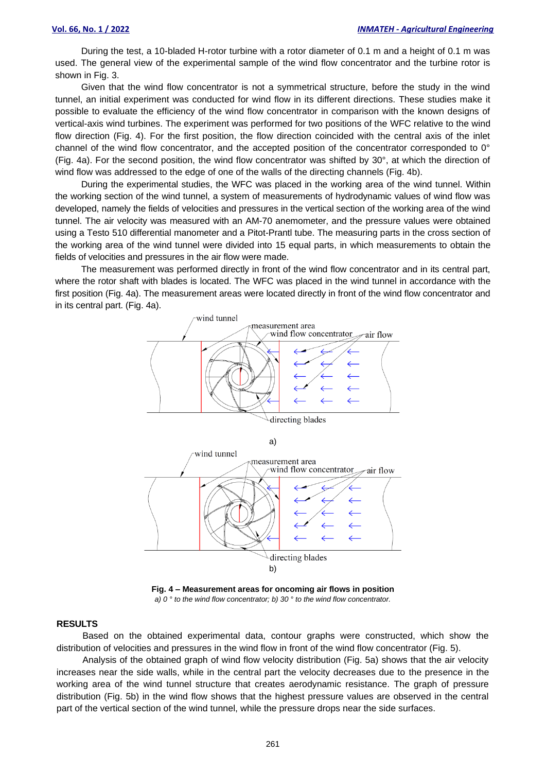During the test, a 10-bladed H-rotor turbine with a rotor diameter of 0.1 m and a height of 0.1 m was used. The general view of the experimental sample of the wind flow concentrator and the turbine rotor is shown in Fig. 3.

Given that the wind flow concentrator is not a symmetrical structure, before the study in the wind tunnel, an initial experiment was conducted for wind flow in its different directions. These studies make it possible to evaluate the efficiency of the wind flow concentrator in comparison with the known designs of vertical-axis wind turbines. The experiment was performed for two positions of the WFC relative to the wind flow direction (Fig. 4). For the first position, the flow direction coincided with the central axis of the inlet channel of the wind flow concentrator, and the accepted position of the concentrator corresponded to 0° (Fig. 4a). For the second position, the wind flow concentrator was shifted by 30°, at which the direction of wind flow was addressed to the edge of one of the walls of the directing channels (Fig. 4b).

During the experimental studies, the WFC was placed in the working area of the wind tunnel. Within the working section of the wind tunnel, a system of measurements of hydrodynamic values of wind flow was developed, namely the fields of velocities and pressures in the vertical section of the working area of the wind tunnel. The air velocity was measured with an AM-70 anemometer, and the pressure values were obtained using a Testo 510 differential manometer and a Pitot-Prantl tube. The measuring parts in the cross section of the working area of the wind tunnel were divided into 15 equal parts, in which measurements to obtain the fields of velocities and pressures in the air flow were made.

The measurement was performed directly in front of the wind flow concentrator and in its central part, where the rotor shaft with blades is located. The WFC was placed in the wind tunnel in accordance with the first position (Fig. 4a). The measurement areas were located directly in front of the wind flow concentrator and in its central part. (Fig. 4a).



**Fig. 4 – Measurement areas for oncoming air flows in position** *a) 0 ° to the wind flow concentrator; b) 30 ° to the wind flow concentrator.*

#### **RESULTS**

Based on the obtained experimental data, contour graphs were constructed, which show the distribution of velocities and pressures in the wind flow in front of the wind flow concentrator (Fig. 5).

Analysis of the obtained graph of wind flow velocity distribution (Fig. 5a) shows that the air velocity increases near the side walls, while in the central part the velocity decreases due to the presence in the working area of the wind tunnel structure that creates aerodynamic resistance. The graph of pressure distribution (Fig. 5b) in the wind flow shows that the highest pressure values are observed in the central part of the vertical section of the wind tunnel, while the pressure drops near the side surfaces.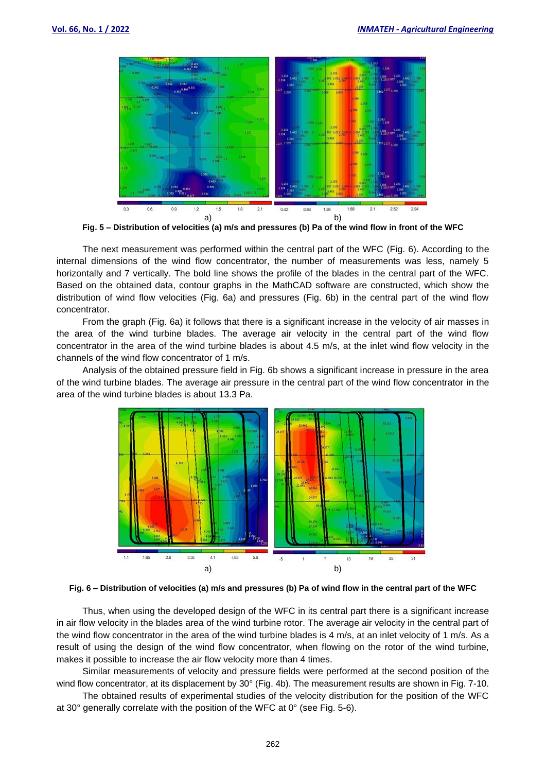

**Fig. 5 – Distribution of velocities (a) m/s and pressures (b) Pa of the wind flow in front of the WFC**

The next measurement was performed within the central part of the WFC (Fig. 6). According to the internal dimensions of the wind flow concentrator, the number of measurements was less, namely 5 horizontally and 7 vertically. The bold line shows the profile of the blades in the central part of the WFC. Based on the obtained data, contour graphs in the MathCAD software are constructed, which show the distribution of wind flow velocities (Fig. 6a) and pressures (Fig. 6b) in the central part of the wind flow concentrator.

From the graph (Fig. 6a) it follows that there is a significant increase in the velocity of air masses in the area of the wind turbine blades. The average air velocity in the central part of the wind flow concentrator in the area of the wind turbine blades is about 4.5 m/s, at the inlet wind flow velocity in the channels of the wind flow concentrator of 1 m/s.

Analysis of the obtained pressure field in Fig. 6b shows a significant increase in pressure in the area of the wind turbine blades. The average air pressure in the central part of the wind flow concentrator in the area of the wind turbine blades is about 13.3 Pa.



**Fig. 6 – Distribution of velocities (a) m/s and pressures (b) Pa of wind flow in the central part of the WFC**

Thus, when using the developed design of the WFC in its central part there is a significant increase in air flow velocity in the blades area of the wind turbine rotor. The average air velocity in the central part of the wind flow concentrator in the area of the wind turbine blades is 4 m/s, at an inlet velocity of 1 m/s. As a result of using the design of the wind flow concentrator, when flowing on the rotor of the wind turbine, makes it possible to increase the air flow velocity more than 4 times.

Similar measurements of velocity and pressure fields were performed at the second position of the wind flow concentrator, at its displacement by 30° (Fig. 4b). The measurement results are shown in Fig. 7-10.

The obtained results of experimental studies of the velocity distribution for the position of the WFC at 30° generally correlate with the position of the WFC at 0° (see Fig. 5-6).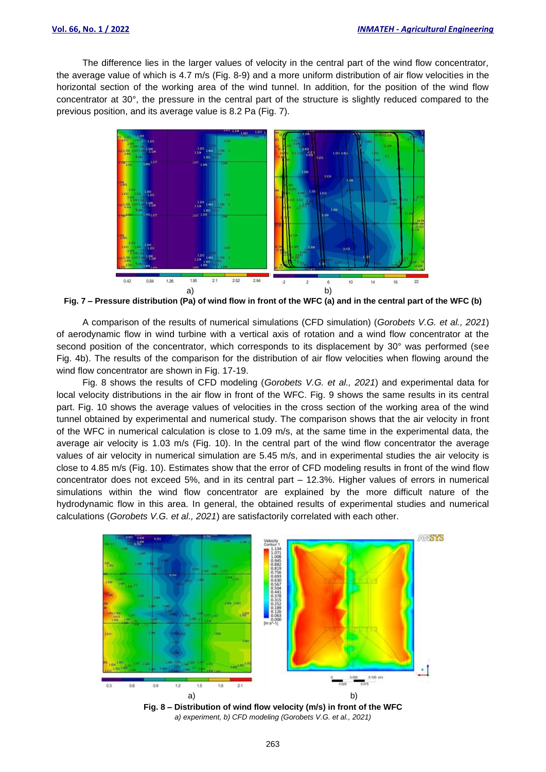The difference lies in the larger values of velocity in the central part of the wind flow concentrator, the average value of which is 4.7 m/s (Fig. 8-9) and a more uniform distribution of air flow velocities in the horizontal section of the working area of the wind tunnel. In addition, for the position of the wind flow concentrator at 30°, the pressure in the central part of the structure is slightly reduced compared to the previous position, and its average value is 8.2 Pa (Fig. 7).



**Fig. 7 – Pressure distribution (Pa) of wind flow in front of the WFC (a) and in the central part of the WFC (b)**

A comparison of the results of numerical simulations (CFD simulation) (*Gorobets V.G. et al., 2021*) of aerodynamic flow in wind turbine with a vertical axis of rotation and a wind flow concentrator at the second position of the concentrator, which corresponds to its displacement by 30° was performed (see Fig. 4b). The results of the comparison for the distribution of air flow velocities when flowing around the wind flow concentrator are shown in Fig. 17-19.

Fig. 8 shows the results of CFD modeling (*Gorobets V.G. et al., 2021*) and experimental data for local velocity distributions in the air flow in front of the WFC. Fig. 9 shows the same results in its central part. Fig. 10 shows the average values of velocities in the cross section of the working area of the wind tunnel obtained by experimental and numerical study. The comparison shows that the air velocity in front of the WFC in numerical calculation is close to 1.09 m/s, at the same time in the experimental data, the average air velocity is 1.03 m/s (Fig. 10). In the central part of the wind flow concentrator the average values of air velocity in numerical simulation are 5.45 m/s, and in experimental studies the air velocity is close to 4.85 m/s (Fig. 10). Estimates show that the error of CFD modeling results in front of the wind flow concentrator does not exceed 5%, and in its central part – 12.3%. Higher values of errors in numerical simulations within the wind flow concentrator are explained by the more difficult nature of the hydrodynamic flow in this area. In general, the obtained results of experimental studies and numerical calculations (*Gorobets V.G. et al., 2021*) are satisfactorily correlated with each other.



**Fig. 8 – Distribution of wind flow velocity (m/s) in front of the WFC** *a) experiment, b) CFD modeling (Gorobets V.G. et al., 2021)*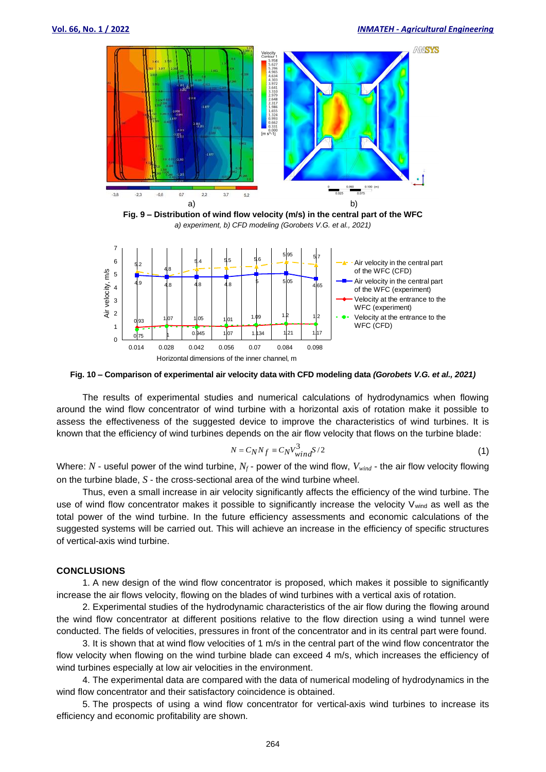

**Fig. 9 – Distribution of wind flow velocity (m/s) in the central part of the WFC** *a) experiment, b) CFD modeling (Gorobets V.G. et al., 2021)*



**Fig. 10 – Comparison of experimental air velocity data with CFD modeling data** *(Gorobets V.G. et al., 2021)*

The results of experimental studies and numerical calculations of hydrodynamics when flowing around the wind flow concentrator of wind turbine with a horizontal axis of rotation make it possible to assess the effectiveness of the suggested device to improve the characteristics of wind turbines. It is known that the efficiency of wind turbines depends on the air flow velocity that flows on the turbine blade:

$$
N = C_N N_f \equiv C_N V_{wind}^3 / 2 \tag{1}
$$

Where: *N* - useful power of the wind turbine, *N<sup>f</sup>* - power of the wind flow, *Vwind* - the air flow velocity flowing on the turbine blade, *S* - the cross-sectional area of the wind turbine wheel.

Thus, even a small increase in air velocity significantly affects the efficiency of the wind turbine. The use of wind flow concentrator makes it possible to significantly increase the velocity V<sub>wind</sub> as well as the total power of the wind turbine. In the future efficiency assessments and economic calculations of the suggested systems will be carried out. This will achieve an increase in the efficiency of specific structures of vertical-axis wind turbine.

#### **CONCLUSIONS**

1. A new design of the wind flow concentrator is proposed, which makes it possible to significantly increase the air flows velocity, flowing on the blades of wind turbines with a vertical axis of rotation.

2. Experimental studies of the hydrodynamic characteristics of the air flow during the flowing around the wind flow concentrator at different positions relative to the flow direction using a wind tunnel were conducted. The fields of velocities, pressures in front of the concentrator and in its central part were found.

3. It is shown that at wind flow velocities of 1 m/s in the central part of the wind flow concentrator the flow velocity when flowing on the wind turbine blade can exceed 4 m/s, which increases the efficiency of wind turbines especially at low air velocities in the environment.

4. The experimental data are compared with the data of numerical modeling of hydrodynamics in the wind flow concentrator and their satisfactory coincidence is obtained.

5. The prospects of using a wind flow concentrator for vertical-axis wind turbines to increase its efficiency and economic profitability are shown.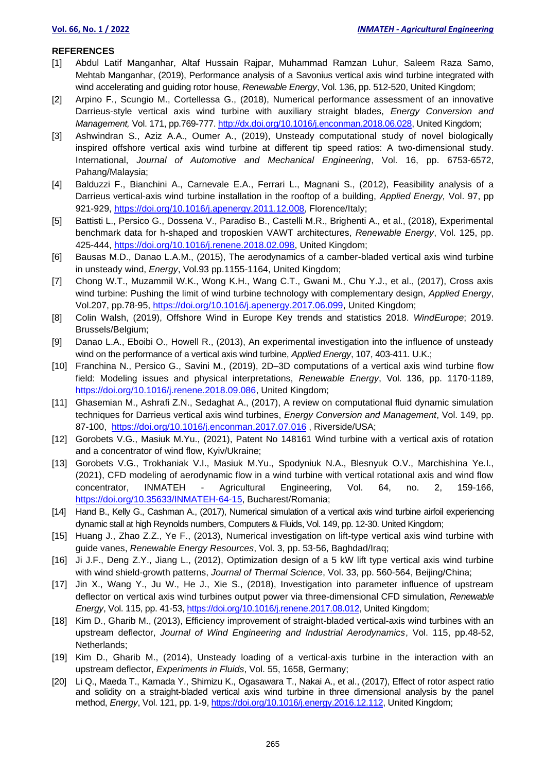### **REFERENCES**

- [1] Abdul Latif Manganhar, Altaf Hussain Rajpar, Muhammad Ramzan Luhur, Saleem Raza Samo, Mehtab Manganhar, (2019), Performance analysis of a Savonius vertical axis wind turbine integrated with wind accelerating and guiding rotor house, *Renewable Energy*, Vol. 136, pp. 512-520, United Kingdom;
- [2] Arpino F., Scungio M., Cortellessa G., (2018), Numerical performance assessment of an innovative Darrieus-style vertical axis wind turbine with auxiliary straight blades, *Energy Conversion and Management,* Vol. 171, pp.769-777. [http://dx.doi.org/10.1016/j.enconman.2018.06.028,](http://dx.doi.org/10.1016/j.enconman.2018.06.028) United Kingdom;
- [3] Ashwindran S., Aziz A.A., Oumer A., (2019), Unsteady computational study of novel biologically inspired offshore vertical axis wind turbine at different tip speed ratios: A two-dimensional study. International, *Journal of Automotive and Mechanical Engineering*, Vol. 16, pp. 6753-6572, Pahang/Malaysia;
- [4] Balduzzi F., Bianchini A., Carnevale E.A., Ferrari L., Magnani S., (2012), Feasibility analysis of a Darrieus vertical-axis wind turbine installation in the rooftop of a building, *Applied Energy,* Vol. 97, pp 921-929, [https://doi.org/10.1016/j.apenergy.2011.12.008,](https://doi.org/10.1016/j.apenergy.2011.12.008) Florence/Italy;
- [5] Battisti L., Persico G., Dossena V., Paradiso B., Castelli M.R., Brighenti A., et al., (2018), Experimental benchmark data for h-shaped and troposkien VAWT architectures, *Renewable Energy*, Vol. 125, pp. 425-444, [https://doi.org/10.1016/j.renene.2018.02.098,](https://doi.org/10.1016/j.renene.2018.02.098) United Kingdom;
- [6] Bausas M.D., Danao L.A.M., (2015), The aerodynamics of a camber-bladed vertical axis wind turbine in unsteady wind, *Energy*, Vol.93 pp.1155-1164, United Kingdom;
- [7] Chong W.T., Muzammil W.K., Wong K.H., Wang C.T., Gwani M., Chu Y.J., et al., (2017), Cross axis wind turbine: Pushing the limit of wind turbine technology with complementary design, *Applied Energy*, Vol.207, pp.78-95, [https://doi.org/10.1016/j.apenergy.2017.06.099,](https://doi.org/10.1016/j.apenergy.2017.06.099) United Kingdom;
- [8] Colin Walsh, (2019), Offshore Wind in Europe Key trends and statistics 2018. *WindEurope*; 2019. Brussels/Belgium;
- [9] Danao L.A., Eboibi O., Howell R., (2013), An experimental investigation into the influence of unsteady wind on the performance of a vertical axis wind turbine, *Applied Energy*, 107, 403-411. U.K.;
- [10] Franchina N., Persico G., Savini M., (2019), 2D–3D computations of a vertical axis wind turbine flow field: Modeling issues and physical interpretations, *Renewable Energy*, Vol. 136, pp. 1170-1189, [https://doi.org/10.1016/j.renene.2018.09.086,](https://doi.org/10.1016/j.renene.2018.09.086) United Kingdom;
- [11] Ghasemian M., Ashrafi Z.N., Sedaghat A., (2017), A review on computational fluid dynamic simulation techniques for Darrieus vertical axis wind turbines, *Energy Conversion and Management*, Vol. 149, pp. 87-100, <https://doi.org/10.1016/j.enconman.2017.07.016> , Riverside/USA;
- [12] Gorobets V.G., Masiuk M.Yu., (2021), Patent No 148161 Wind turbine with a vertical axis of rotation and a concentrator of wind flow, Kyiv/Ukraine;
- [13] Gorobets V.G., Trokhaniak V.I., Masiuk M.Yu., Spodyniuk N.A., Blesnyuk O.V., Marchishina Ye.I., (2021), CFD modeling of aerodynamic flow in a wind turbine with vertical rotational axis and wind flow concentrator, INMATEH - Agricultural Engineering, Vol. 64, no. 2, 159-166, [https://doi.org/10.35633/INMATEH-64-15,](https://doi.org/10.35633/INMATEH-64-15) Bucharest/Romania;
- [14] Hand B., Kelly G., Cashman A., (2017), Numerical simulation of a vertical axis wind turbine airfoil experiencing dynamic stall at high Reynolds numbers, Computers & Fluids, Vol. 149, pp. 12-30. United Kingdom;
- [15] Huang J., Zhao Z.Z., Ye F., (2013), Numerical investigation on lift-type vertical axis wind turbine with guide vanes, *Renewable Energy Resources*, Vol. 3, pp. 53-56, Baghdad/Iraq;
- [16] Ji J.F., Deng Z.Y., Jiang L., (2012), Optimization design of a 5 kW lift type vertical axis wind turbine with wind shield-growth patterns, *Journal of Thermal Science*, Vol. 33, pp. 560-564, Beijing/China;
- [17] Jin X., Wang Y., Ju W., He J., Xie S., (2018), Investigation into parameter influence of upstream deflector on vertical axis wind turbines output power via three-dimensional CFD simulation, *Renewable Energy*, Vol. 115, pp. 41-53, [https://doi.org/10.1016/j.renene.2017.08.012,](https://doi.org/10.1016/j.renene.2017.08.012) United Kingdom;
- [18] Kim D., Gharib M., (2013), Efficiency improvement of straight-bladed vertical-axis wind turbines with an upstream deflector, *Journal of Wind Engineering and Industrial Aerodynamics*, Vol. 115, pp.48-52, Netherlands;
- [19] Kim D., Gharib M., (2014), Unsteady loading of a vertical-axis turbine in the interaction with an upstream deflector, *Experiments in Fluids*, Vol. 55, 1658, Germany;
- [20] Li Q., Maeda T., Kamada Y., Shimizu K., Ogasawara T., Nakai A., et al., (2017), Effect of rotor aspect ratio and solidity on a straight-bladed vertical axis wind turbine in three dimensional analysis by the panel method, *Energy*, Vol. 121, pp. 1-9[, https://doi.org/10.1016/j.energy.2016.12.112,](https://doi.org/10.1016/j.energy.2016.12.112) United Kingdom;